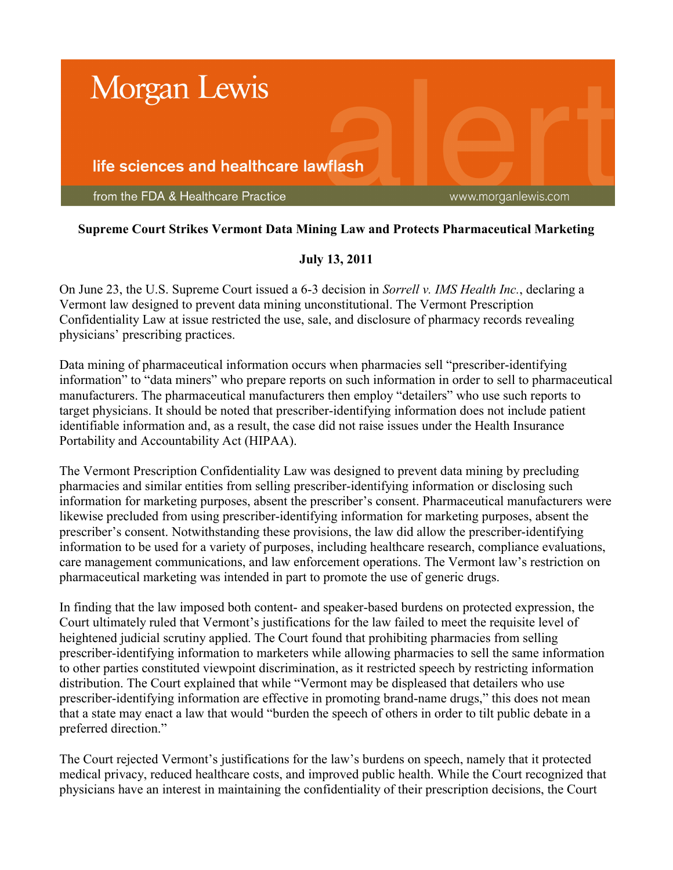

## **Supreme Court Strikes Vermont Data Mining Law and Protects Pharmaceutical Marketing**

## **July 13, 2011**

On June 23, the U.S. Supreme Court issued a 6-3 decision in *Sorrell v. IMS Health Inc.*, declaring a Vermont law designed to prevent data mining unconstitutional. The Vermont Prescription Confidentiality Law at issue restricted the use, sale, and disclosure of pharmacy records revealing physicians' prescribing practices.

Data mining of pharmaceutical information occurs when pharmacies sell "prescriber-identifying" information" to "data miners" who prepare reports on such information in order to sell to pharmaceutical manufacturers. The pharmaceutical manufacturers then employ "detailers" who use such reports to target physicians. It should be noted that prescriber-identifying information does not include patient identifiable information and, as a result, the case did not raise issues under the Health Insurance Portability and Accountability Act (HIPAA).

The Vermont Prescription Confidentiality Law was designed to prevent data mining by precluding pharmacies and similar entities from selling prescriber-identifying information or disclosing such information for marketing purposes, absent the prescriber's consent. Pharmaceutical manufacturers were likewise precluded from using prescriber-identifying information for marketing purposes, absent the prescriber's consent. Notwithstanding these provisions, the law did allow the prescriber-identifying information to be used for a variety of purposes, including healthcare research, compliance evaluations, care management communications, and law enforcement operations. The Vermont law's restriction on pharmaceutical marketing was intended in part to promote the use of generic drugs.

In finding that the law imposed both content- and speaker-based burdens on protected expression, the Court ultimately ruled that Vermont's justifications for the law failed to meet the requisite level of heightened judicial scrutiny applied. The Court found that prohibiting pharmacies from selling prescriber-identifying information to marketers while allowing pharmacies to sell the same information to other parties constituted viewpoint discrimination, as it restricted speech by restricting information distribution. The Court explained that while "Vermont may be displeased that detailers who use prescriber-identifying information are effective in promoting brand-name drugs," this does not mean that a state may enact a law that would "burden the speech of others in order to tilt public debate in a preferred direction."

The Court rejected Vermont's justifications for the law's burdens on speech, namely that it protected medical privacy, reduced healthcare costs, and improved public health. While the Court recognized that physicians have an interest in maintaining the confidentiality of their prescription decisions, the Court